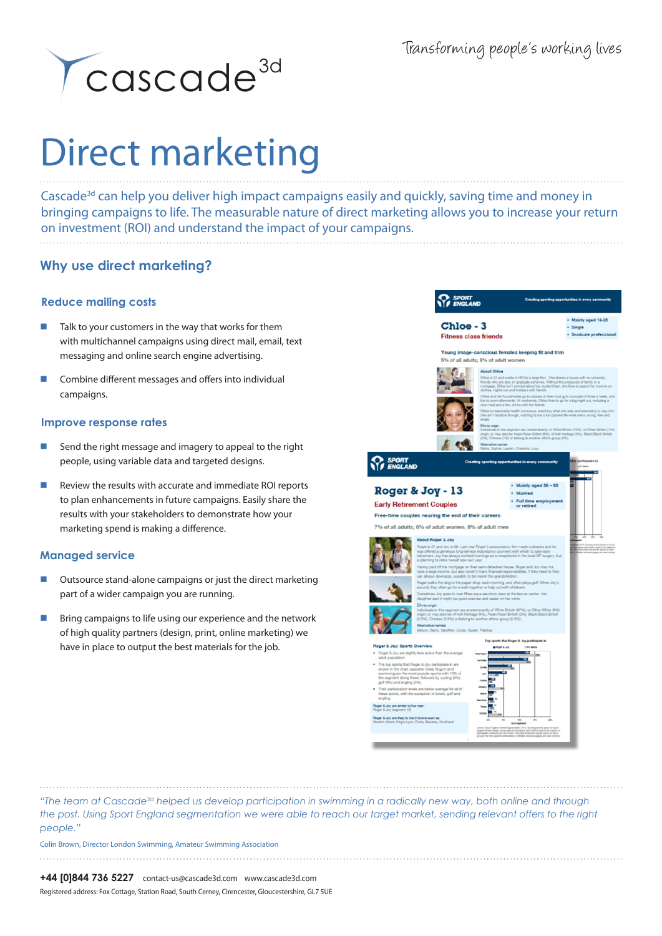

# Direct marketing

Cascade<sup>3d</sup> can help you deliver high impact campaigns easily and quickly, saving time and money in bringing campaigns to life. The measurable nature of direct marketing allows you to increase your return on investment (ROI) and understand the impact of your campaigns.

# **Why use direct marketing?**

# **Reduce mailing costs**

- Talk to your customers in the way that works for them with multichannel campaigns using direct mail, email, text messaging and online search engine advertising.
- **EXECOMBINE DIFFERENT COMBINE A** Combine different messages and offers into individual campaigns.

# **Improve response rates**

- Send the right message and imagery to appeal to the right people, using variable data and targeted designs.
- Review the results with accurate and immediate ROI reports to plan enhancements in future campaigns. Easily share the results with your stakeholders to demonstrate how your marketing spend is making a difference.

# **Managed service**

- Outsource stand-alone campaigns or just the direct marketing part of a wider campaign you are running.
- Bring campaigns to life using our experience and the network of high quality partners (design, print, online marketing) we have in place to output the best materials for the job.



*"The team at Cascade3d helped us develop participation in swimming in a radically new way, both online and through the post. Using Sport England segmentation we were able to reach our target market, sending relevant offers to the right people."*

Colin Brown, Director London Swimming, Amateur Swimming Association

Registered address: Fox Cottage, Station Road, South Cerney, Cirencester, Gloucestershire, GL7 5UE **+44 [0]844 736 5227** contact-us@cascade3d.com www.cascade3d.com